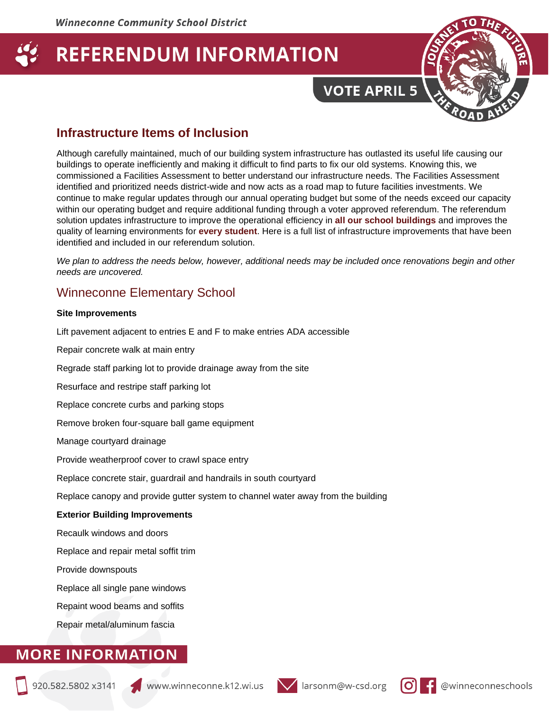**VOTE APRIL 5** 



### **Infrastructure Items of Inclusion**

Although carefully maintained, much of our building system infrastructure has outlasted its useful life causing our buildings to operate inefficiently and making it difficult to find parts to fix our old systems. Knowing this, we commissioned a Facilities Assessment to better understand our infrastructure needs. The Facilities Assessment identified and prioritized needs district-wide and now acts as a road map to future facilities investments. We continue to make regular updates through our annual operating budget but some of the needs exceed our capacity within our operating budget and require additional funding through a voter approved referendum. The referendum solution updates infrastructure to improve the operational efficiency in **all our school buildings** and improves the quality of learning environments for **every student**. Here is a full list of infrastructure improvements that have been identified and included in our referendum solution.

*We plan to address the needs below, however, additional needs may be included once renovations begin and other needs are uncovered.* 

### Winneconne Elementary School

#### **Site Improvements**

Lift pavement adjacent to entries E and F to make entries ADA accessible

Repair concrete walk at main entry

Regrade staff parking lot to provide drainage away from the site

Resurface and restripe staff parking lot

Replace concrete curbs and parking stops

Remove broken four-square ball game equipment

Manage courtyard drainage

Provide weatherproof cover to crawl space entry

Replace concrete stair, guardrail and handrails in south courtyard

Replace canopy and provide gutter system to channel water away from the building

#### **Exterior Building Improvements**

Recaulk windows and doors

Replace and repair metal soffit trim

Provide downspouts

Replace all single pane windows

Repaint wood beams and soffits

Repair metal/aluminum fascia



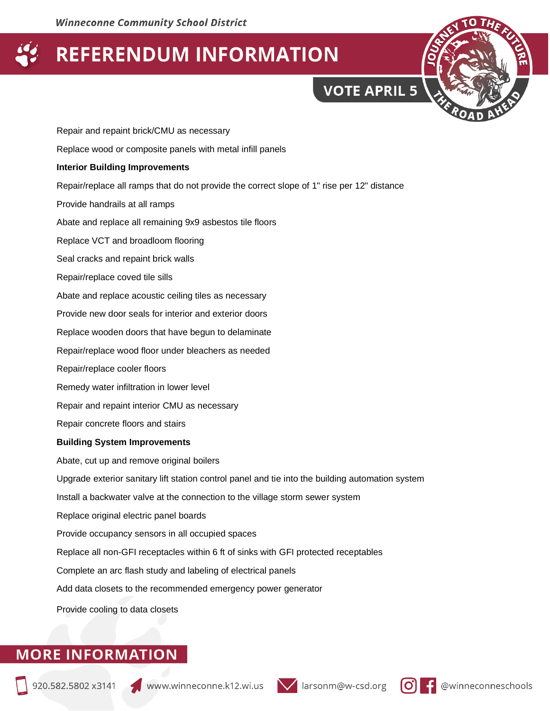

Repair and repaint brick/CMU as necessary Replace wood or composite panels with metal infill panels **Interior Building Improvements** Repair/replace all ramps that do not provide the correct slope of 1" rise per 12" distance Provide handrails at all ramps Abate and replace all remaining 9x9 asbestos tile floors Replace VCT and broadloom flooring Seal cracks and repaint brick walls Repair/replace coved tile sills Abate and replace acoustic ceiling tiles as necessary Provide new door seals for interior and exterior doors Replace wooden doors that have begun to delaminate Repair/replace wood floor under bleachers as needed Repair/replace cooler floors Remedy water infiltration in lower level Repair and repaint interior CMU as necessary Repair concrete floors and stairs **Building System Improvements** Abate, cut up and remove original boilers Upgrade exterior sanitary lift station control panel and tie into the building automation system Install a backwater valve at the connection to the village storm sewer system Replace original electric panel boards Provide occupancy sensors in all occupied spaces Replace all non-GFI receptacles within 6 ft of sinks with GFI protected receptables Complete an arc flash study and labeling of electrical panels Add data closets to the recommended emergency power generator

Provide cooling to data closets



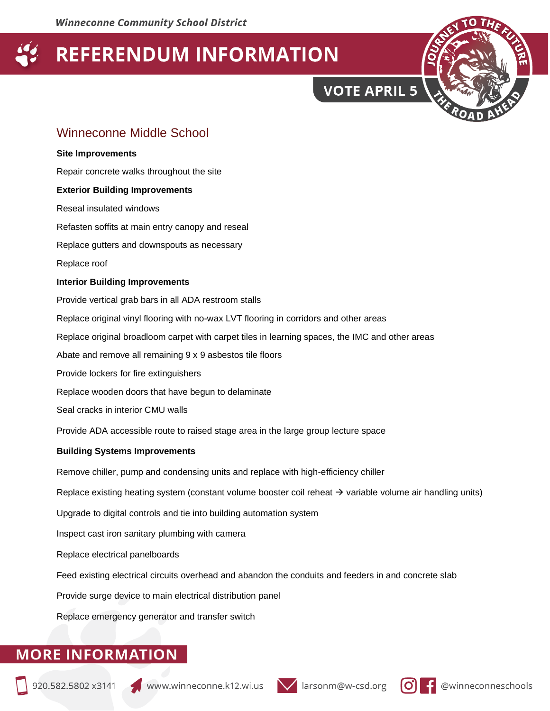**VOTE APRIL 5** 



### Winneconne Middle School

### **Site Improvements**

Repair concrete walks throughout the site

#### **Exterior Building Improvements**

Reseal insulated windows

Refasten soffits at main entry canopy and reseal

Replace gutters and downspouts as necessary

Replace roof

#### **Interior Building Improvements**

Provide vertical grab bars in all ADA restroom stalls

Replace original vinyl flooring with no-wax LVT flooring in corridors and other areas

Replace original broadloom carpet with carpet tiles in learning spaces, the IMC and other areas

Abate and remove all remaining 9 x 9 asbestos tile floors

Provide lockers for fire extinguishers

Replace wooden doors that have begun to delaminate

Seal cracks in interior CMU walls

Provide ADA accessible route to raised stage area in the large group lecture space

#### **Building Systems Improvements**

Remove chiller, pump and condensing units and replace with high-efficiency chiller

Replace existing heating system (constant volume booster coil reheat  $\rightarrow$  variable volume air handling units)

Upgrade to digital controls and tie into building automation system

Inspect cast iron sanitary plumbing with camera

Replace electrical panelboards

Feed existing electrical circuits overhead and abandon the conduits and feeders in and concrete slab

Provide surge device to main electrical distribution panel

Replace emergency generator and transfer switch





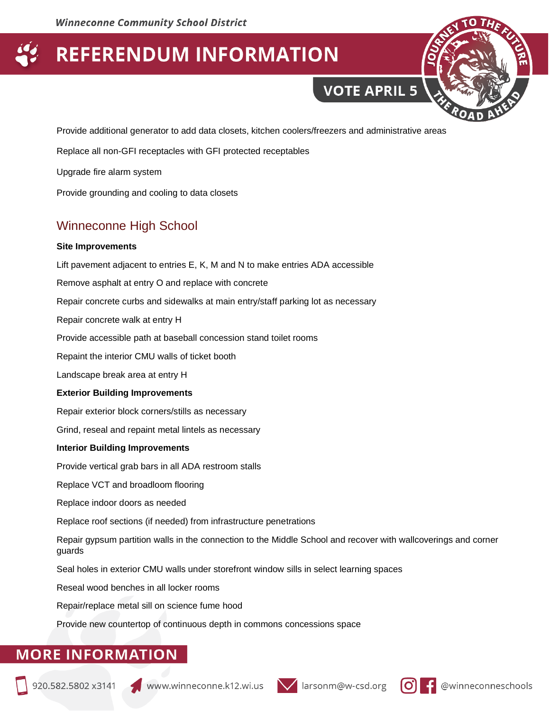**VOTE APRIL 5** 

Provide additional generator to add data closets, kitchen coolers/freezers and administrative areas

Replace all non-GFI receptacles with GFI protected receptables

Upgrade fire alarm system

Provide grounding and cooling to data closets

## Winneconne High School

#### **Site Improvements**

Lift pavement adjacent to entries E, K, M and N to make entries ADA accessible

Remove asphalt at entry O and replace with concrete

Repair concrete curbs and sidewalks at main entry/staff parking lot as necessary

Repair concrete walk at entry H

Provide accessible path at baseball concession stand toilet rooms

Repaint the interior CMU walls of ticket booth

Landscape break area at entry H

#### **Exterior Building Improvements**

Repair exterior block corners/stills as necessary

Grind, reseal and repaint metal lintels as necessary

#### **Interior Building Improvements**

Provide vertical grab bars in all ADA restroom stalls

Replace VCT and broadloom flooring

Replace indoor doors as needed

Replace roof sections (if needed) from infrastructure penetrations

Repair gypsum partition walls in the connection to the Middle School and recover with wallcoverings and corner guards

Seal holes in exterior CMU walls under storefront window sills in select learning spaces

Reseal wood benches in all locker rooms

Repair/replace metal sill on science fume hood

Provide new countertop of continuous depth in commons concessions space